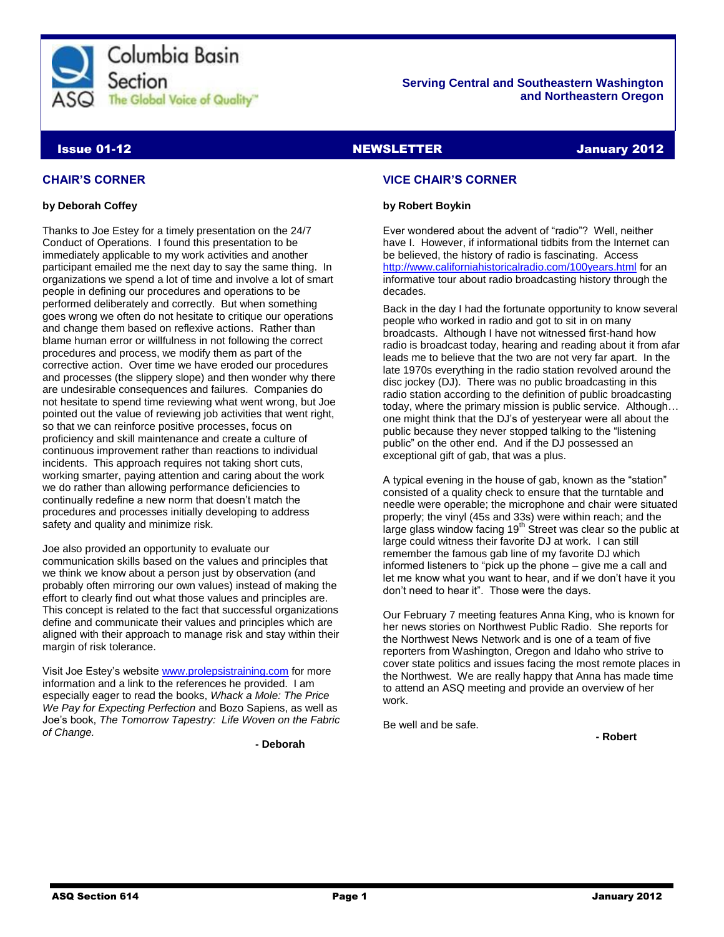

# **Serving Central and Southeastern Washington and Northeastern Oregon**

# **Issue 01-12 ISSUE 2012 NEWSLETTER ISSUE 2012**

# **CHAIR'S CORNER**

# **by Deborah Coffey**

Thanks to Joe Estey for a timely presentation on the 24/7 Conduct of Operations. I found this presentation to be immediately applicable to my work activities and another participant emailed me the next day to say the same thing. In organizations we spend a lot of time and involve a lot of smart people in defining our procedures and operations to be performed deliberately and correctly. But when something goes wrong we often do not hesitate to critique our operations and change them based on reflexive actions. Rather than blame human error or willfulness in not following the correct procedures and process, we modify them as part of the corrective action. Over time we have eroded our procedures and processes (the slippery slope) and then wonder why there are undesirable consequences and failures. Companies do not hesitate to spend time reviewing what went wrong, but Joe pointed out the value of reviewing job activities that went right, so that we can reinforce positive processes, focus on proficiency and skill maintenance and create a culture of continuous improvement rather than reactions to individual incidents. This approach requires not taking short cuts, working smarter, paying attention and caring about the work we do rather than allowing performance deficiencies to continually redefine a new norm that doesn't match the procedures and processes initially developing to address safety and quality and minimize risk.

Joe also provided an opportunity to evaluate our communication skills based on the values and principles that we think we know about a person just by observation (and probably often mirroring our own values) instead of making the effort to clearly find out what those values and principles are. This concept is related to the fact that successful organizations define and communicate their values and principles which are aligned with their approach to manage risk and stay within their margin of risk tolerance.

Visit Joe Estey's website [www.prolepsistraining.com](http://www.prolepsistraining.com/) for more information and a link to the references he provided. I am especially eager to read the books, *Whack a Mole: The Price We Pay for Expecting Perfection* and Bozo Sapiens, as well as Joe's book, *The Tomorrow Tapestry: Life Woven on the Fabric of Change.* 

**- Deborah**

# **VICE CHAIR'S CORNER**

# **by Robert Boykin**

Ever wondered about the advent of "radio"? Well, neither have I. However, if informational tidbits from the Internet can be believed, the history of radio is fascinating. Access <http://www.californiahistoricalradio.com/100years.html> for an informative tour about radio broadcasting history through the decades.

Back in the day I had the fortunate opportunity to know several people who worked in radio and got to sit in on many broadcasts. Although I have not witnessed first-hand how radio is broadcast today, hearing and reading about it from afar leads me to believe that the two are not very far apart. In the late 1970s everything in the radio station revolved around the disc jockey (DJ). There was no public broadcasting in this radio station according to the definition of public broadcasting today, where the primary mission is public service. Although… one might think that the DJ's of yesteryear were all about the public because they never stopped talking to the "listening public" on the other end. And if the DJ possessed an exceptional gift of gab, that was a plus.

A typical evening in the house of gab, known as the "station" consisted of a quality check to ensure that the turntable and needle were operable; the microphone and chair were situated properly; the vinyl (45s and 33s) were within reach; and the large glass window facing  $19<sup>th</sup>$  Street was clear so the public at large could witness their favorite DJ at work. I can still remember the famous gab line of my favorite DJ which informed listeners to "pick up the phone – give me a call and let me know what you want to hear, and if we don't have it you don't need to hear it". Those were the days.

Our February 7 meeting features Anna King, who is known for her news stories on Northwest Public Radio. She reports for the Northwest News Network and is one of a team of five reporters from Washington, Oregon and Idaho who strive to cover state politics and issues facing the most remote places in the Northwest. We are really happy that Anna has made time to attend an ASQ meeting and provide an overview of her work.

Be well and be safe.

**- Robert**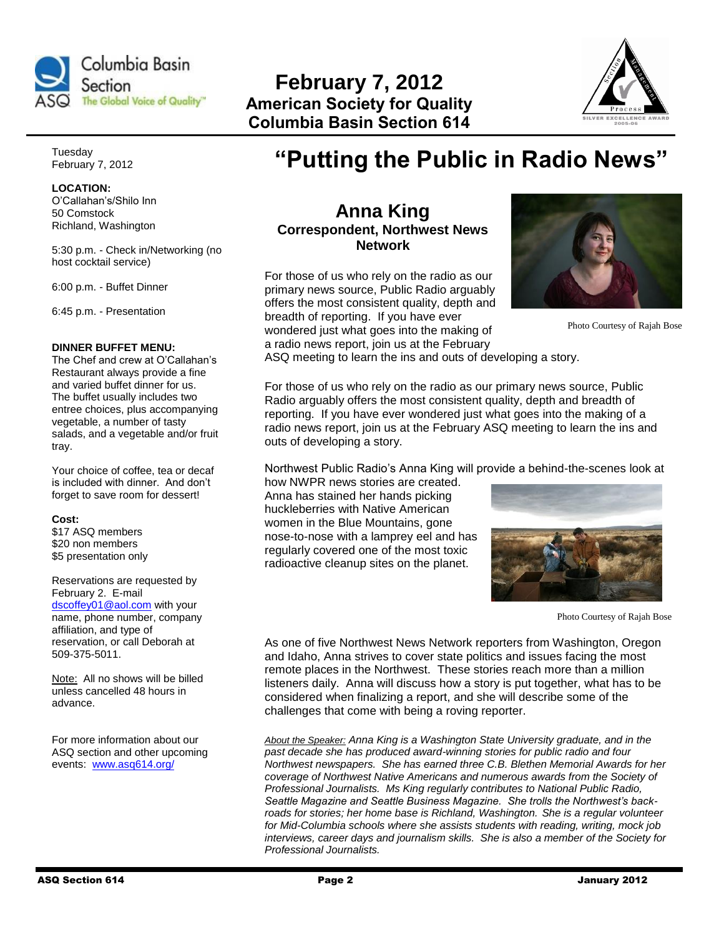

**February 7, 2012 American Society for Quality Columbia Basin Section 614**



Tuesday February 7, 2012

**LOCATION:**  O'Callahan's/Shilo Inn 50 Comstock Richland, Washington

5:30 p.m. - Check in/Networking (no host cocktail service)

6:00 p.m. - Buffet Dinner

6:45 p.m. - Presentation

## **DINNER BUFFET MENU:**

The Chef and crew at O'Callahan's Restaurant always provide a fine and varied buffet dinner for us. The buffet usually includes two entree choices, plus accompanying vegetable, a number of tasty salads, and a vegetable and/or fruit tray.

Your choice of coffee, tea or decaf is included with dinner. And don't forget to save room for dessert!

### **Cost:**

\$17 ASQ members \$20 non members \$5 presentation only

Reservations are requested by February 2. E-mail [dscoffey01@aol.com](mailto:dscoffey01@aol.com) with your name, phone number, company affiliation, and type of reservation, or call Deborah at 509-375-5011.

Note: All no shows will be billed unless cancelled 48 hours in advance.

For more information about our ASQ section and other upcoming events: [www.asq614.org/](http://www.asq614.org/)

# **"Putting the Public in Radio News"**

# **Anna King Correspondent, Northwest News Network**

For those of us who rely on the radio as our primary news source, Public Radio arguably offers the most consistent quality, depth and breadth of reporting. If you have ever

wondered just what goes into the making of a radio news report, join us at the February



Photo Courtesy of Rajah Bose

ASQ meeting to learn the ins and outs of developing a story.

For those of us who rely on the radio as our primary news source, Public Radio arguably offers the most consistent quality, depth and breadth of reporting. If you have ever wondered just what goes into the making of a radio news report, join us at the February ASQ meeting to learn the ins and outs of developing a story.

Northwest Public Radio's Anna King will provide a behind-the-scenes look at

how NWPR news stories are created. Anna has stained her hands picking huckleberries with Native American women in the Blue Mountains, gone nose-to-nose with a lamprey eel and has regularly covered one of the most toxic radioactive cleanup sites on the planet.



Photo Courtesy of Rajah Bose

As one of five Northwest News Network reporters from Washington, Oregon and Idaho, Anna strives to cover state politics and issues facing the most remote places in the Northwest. These stories reach more than a million listeners daily. Anna will discuss how a story is put together, what has to be considered when finalizing a report, and she will describe some of the challenges that come with being a roving reporter.

*About the Speaker: Anna King is a Washington State University graduate, and in the past decade she has produced award-winning stories for public radio and four Northwest newspapers. She has earned three C.B. Blethen Memorial Awards for her coverage of Northwest Native Americans and numerous awards from the Society of Professional Journalists. Ms King regularly contributes to National Public Radio, Seattle Magazine and Seattle Business Magazine. She trolls the Northwest's backroads for stories; her home base is Richland, Washington. She is a regular volunteer for Mid-Columbia schools where she assists students with reading, writing, mock job interviews, career days and journalism skills. She is also a member of the Society for Professional Journalists.*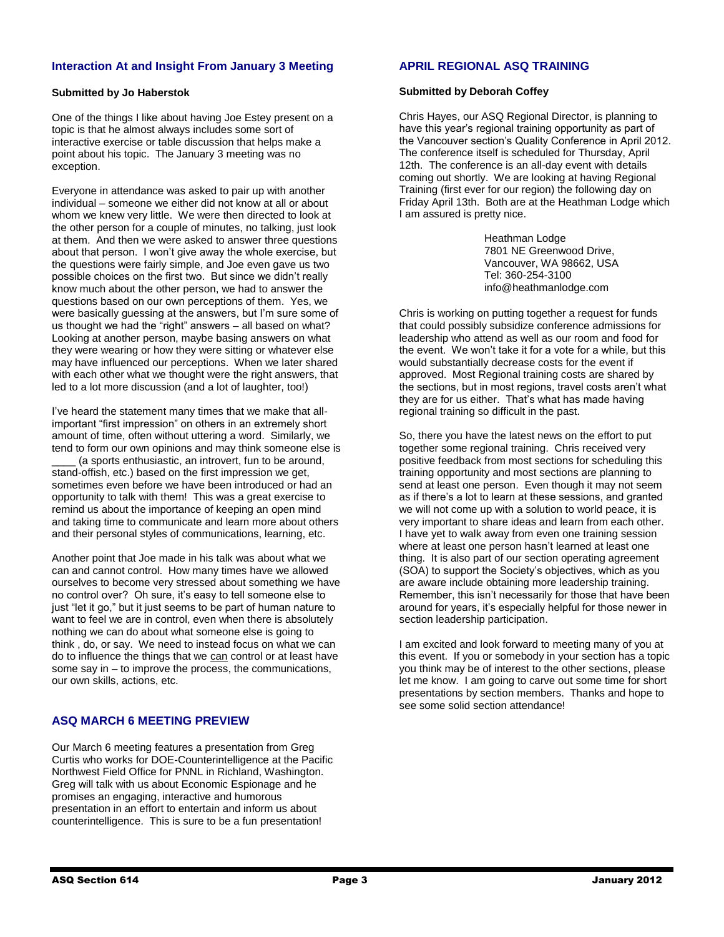# **Interaction At and Insight From January 3 Meeting**

# **Submitted by Jo Haberstok**

One of the things I like about having Joe Estey present on a topic is that he almost always includes some sort of interactive exercise or table discussion that helps make a point about his topic. The January 3 meeting was no exception.

Everyone in attendance was asked to pair up with another individual – someone we either did not know at all or about whom we knew very little. We were then directed to look at the other person for a couple of minutes, no talking, just look at them. And then we were asked to answer three questions about that person. I won't give away the whole exercise, but the questions were fairly simple, and Joe even gave us two possible choices on the first two. But since we didn't really know much about the other person, we had to answer the questions based on our own perceptions of them. Yes, we were basically guessing at the answers, but I'm sure some of us thought we had the "right" answers – all based on what? Looking at another person, maybe basing answers on what they were wearing or how they were sitting or whatever else may have influenced our perceptions. When we later shared with each other what we thought were the right answers, that led to a lot more discussion (and a lot of laughter, too!)

I've heard the statement many times that we make that allimportant "first impression" on others in an extremely short amount of time, often without uttering a word. Similarly, we tend to form our own opinions and may think someone else is (a sports enthusiastic, an introvert, fun to be around, stand-offish, etc.) based on the first impression we get, sometimes even before we have been introduced or had an opportunity to talk with them! This was a great exercise to remind us about the importance of keeping an open mind and taking time to communicate and learn more about others and their personal styles of communications, learning, etc.

Another point that Joe made in his talk was about what we can and cannot control. How many times have we allowed ourselves to become very stressed about something we have no control over? Oh sure, it's easy to tell someone else to just "let it go," but it just seems to be part of human nature to want to feel we are in control, even when there is absolutely nothing we can do about what someone else is going to think , do, or say. We need to instead focus on what we can do to influence the things that we can control or at least have some say in – to improve the process, the communications, our own skills, actions, etc.

# **ASQ MARCH 6 MEETING PREVIEW**

Our March 6 meeting features a presentation from Greg Curtis who works for DOE-Counterintelligence at the Pacific Northwest Field Office for PNNL in Richland, Washington. Greg will talk with us about Economic Espionage and he promises an engaging, interactive and humorous presentation in an effort to entertain and inform us about counterintelligence. This is sure to be a fun presentation!

# **APRIL REGIONAL ASQ TRAINING**

## **Submitted by Deborah Coffey**

Chris Hayes, our ASQ Regional Director, is planning to have this year's regional training opportunity as part of the Vancouver section's Quality Conference in April 2012. The conference itself is scheduled for Thursday, April 12th. The conference is an all-day event with details coming out shortly. We are looking at having Regional Training (first ever for our region) the following day on Friday April 13th. Both are at the Heathman Lodge which I am assured is pretty nice.

> Heathman Lodge 7801 NE Greenwood Drive, Vancouver, WA 98662, USA Tel: 360-254-3100 info@heathmanlodge.com

Chris is working on putting together a request for funds that could possibly subsidize conference admissions for leadership who attend as well as our room and food for the event. We won't take it for a vote for a while, but this would substantially decrease costs for the event if approved. Most Regional training costs are shared by the sections, but in most regions, travel costs aren't what they are for us either. That's what has made having regional training so difficult in the past.

So, there you have the latest news on the effort to put together some regional training. Chris received very positive feedback from most sections for scheduling this training opportunity and most sections are planning to send at least one person. Even though it may not seem as if there's a lot to learn at these sessions, and granted we will not come up with a solution to world peace, it is very important to share ideas and learn from each other. I have yet to walk away from even one training session where at least one person hasn't learned at least one thing. It is also part of our section operating agreement (SOA) to support the Society's objectives, which as you are aware include obtaining more leadership training. Remember, this isn't necessarily for those that have been around for years, it's especially helpful for those newer in section leadership participation.

I am excited and look forward to meeting many of you at this event. If you or somebody in your section has a topic you think may be of interest to the other sections, please let me know. I am going to carve out some time for short presentations by section members. Thanks and hope to see some solid section attendance!